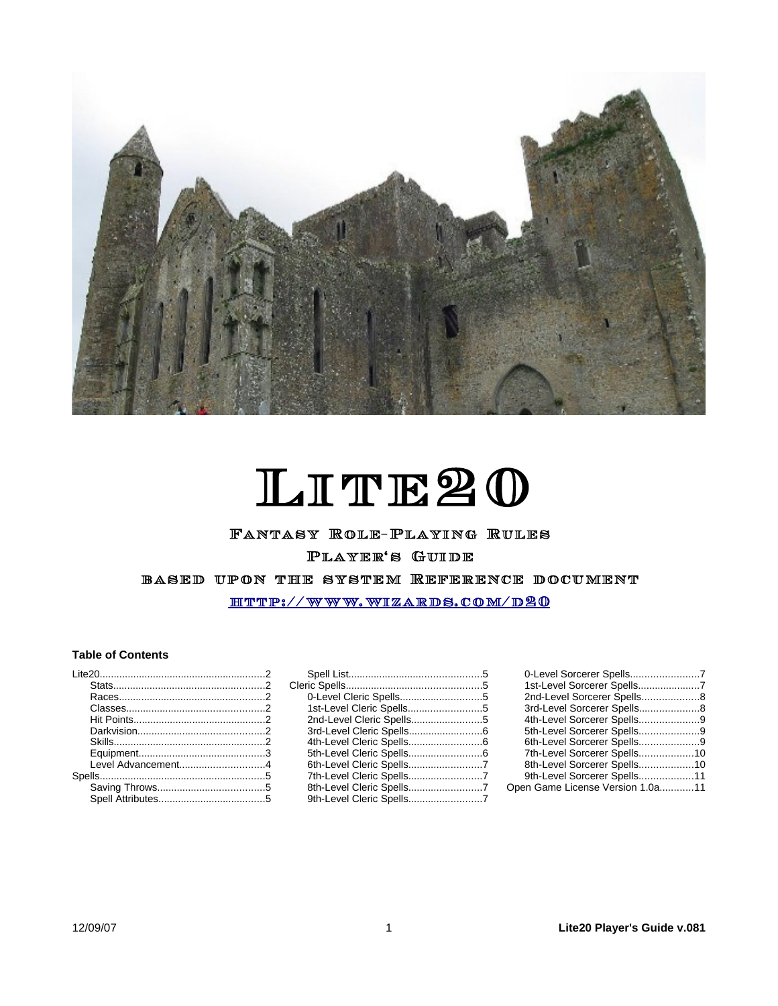

# LITE20

# Fantasy Role-Playing Rules

Player's Guide

#### based upon the system Reference document

# [http://www .wizards.com/d20](http://www.wizards.com/d20)

#### **Table of Contents**

| 1st-Level Cleric Spells5 |  |
|--------------------------|--|
| 2nd-Level Cleric Spells5 |  |
|                          |  |
|                          |  |
|                          |  |
| 6th-Level Cleric Spells7 |  |
| 7th-Level Cleric Spells7 |  |
|                          |  |
|                          |  |
|                          |  |

| 0-Level Sorcerer Spells7         |  |
|----------------------------------|--|
| 1st-Level Sorcerer Spells7       |  |
| 2nd-Level Sorcerer Spells8       |  |
|                                  |  |
| 4th-Level Sorcerer Spells9       |  |
| 5th-Level Sorcerer Spells9       |  |
|                                  |  |
| 7th-Level Sorcerer Spells10      |  |
| 8th-Level Sorcerer Spells10      |  |
| 9th-Level Sorcerer Spells11      |  |
| Open Game License Version 1.0a11 |  |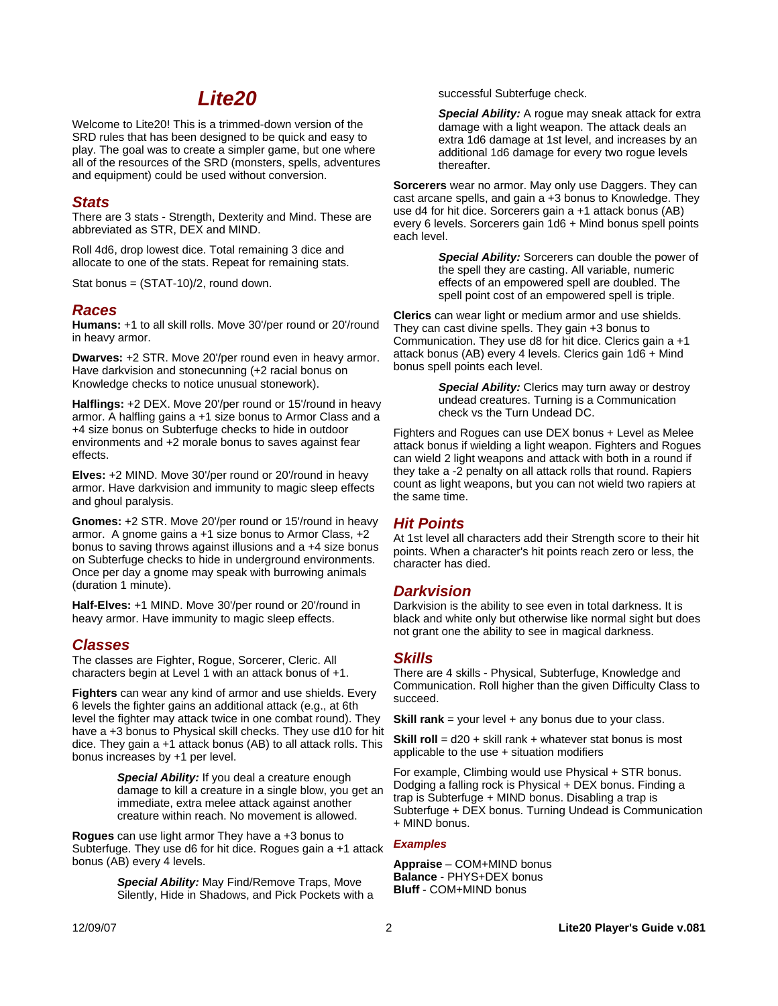# *Lite20*

Welcome to Lite20! This is a trimmed-down version of the SRD rules that has been designed to be quick and easy to play. The goal was to create a simpler game, but one where all of the resources of the SRD (monsters, spells, adventures and equipment) could be used without conversion.

#### *Stats*

There are 3 stats - Strength, Dexterity and Mind. These are abbreviated as STR, DEX and MIND.

Roll 4d6, drop lowest dice. Total remaining 3 dice and allocate to one of the stats. Repeat for remaining stats.

Stat bonus = (STAT-10)/2, round down.

#### *Races*

**Humans:** +1 to all skill rolls. Move 30'/per round or 20'/round in heavy armor.

**Dwarves:** +2 STR. Move 20'/per round even in heavy armor. Have darkvision and stonecunning (+2 racial bonus on Knowledge checks to notice unusual stonework).

**Halflings:** +2 DEX. Move 20'/per round or 15'/round in heavy armor. A halfling gains a +1 size bonus to Armor Class and a +4 size bonus on Subterfuge checks to hide in outdoor environments and +2 morale bonus to saves against fear effects.

**Elves:** +2 MIND. Move 30'/per round or 20'/round in heavy armor. Have darkvision and immunity to magic sleep effects and ghoul paralysis.

**Gnomes:** +2 STR. Move 20'/per round or 15'/round in heavy armor. A gnome gains  $a + 1$  size bonus to Armor Class,  $+2$ bonus to saving throws against illusions and a +4 size bonus on Subterfuge checks to hide in underground environments. Once per day a gnome may speak with burrowing animals (duration 1 minute).

**Half-Elves:** +1 MIND. Move 30'/per round or 20'/round in heavy armor. Have immunity to magic sleep effects.

#### *Classes*

The classes are Fighter, Rogue, Sorcerer, Cleric. All characters begin at Level 1 with an attack bonus of +1.

**Fighters** can wear any kind of armor and use shields. Every 6 levels the fighter gains an additional attack (e.g., at 6th level the fighter may attack twice in one combat round). They have a +3 bonus to Physical skill checks. They use d10 for hit dice. They gain a +1 attack bonus (AB) to all attack rolls. This bonus increases by +1 per level.

> *Special Ability:* If you deal a creature enough damage to kill a creature in a single blow, you get an immediate, extra melee attack against another creature within reach. No movement is allowed.

**Rogues** can use light armor They have a +3 bonus to Subterfuge. They use d6 for hit dice. Rogues gain a +1 attack bonus (AB) every 4 levels.

> *Special Ability:* May Find/Remove Traps, Move Silently, Hide in Shadows, and Pick Pockets with a

successful Subterfuge check.

**Special Ability:** A roque may sneak attack for extra damage with a light weapon. The attack deals an extra 1d6 damage at 1st level, and increases by an additional 1d6 damage for every two rogue levels thereafter.

**Sorcerers** wear no armor. May only use Daggers. They can cast arcane spells, and gain  $a + 3$  bonus to Knowledge. They use d4 for hit dice. Sorcerers gain a +1 attack bonus (AB) every 6 levels. Sorcerers gain 1d6 + Mind bonus spell points each level.

> *Special Ability:* Sorcerers can double the power of the spell they are casting. All variable, numeric effects of an empowered spell are doubled. The spell point cost of an empowered spell is triple.

**Clerics** can wear light or medium armor and use shields. They can cast divine spells. They gain +3 bonus to Communication. They use d8 for hit dice. Clerics gain a +1 attack bonus (AB) every 4 levels. Clerics gain 1d6 + Mind bonus spell points each level.

> *Special Ability:* Clerics may turn away or destroy undead creatures. Turning is a Communication check vs the Turn Undead DC.

Fighters and Rogues can use DEX bonus + Level as Melee attack bonus if wielding a light weapon. Fighters and Rogues can wield 2 light weapons and attack with both in a round if they take a -2 penalty on all attack rolls that round. Rapiers count as light weapons, but you can not wield two rapiers at the same time.

#### *Hit Points*

At 1st level all characters add their Strength score to their hit points. When a character's hit points reach zero or less, the character has died.

#### *Darkvision*

Darkvision is the ability to see even in total darkness. It is black and white only but otherwise like normal sight but does not grant one the ability to see in magical darkness.

#### *Skills*

There are 4 skills - Physical, Subterfuge, Knowledge and Communication. Roll higher than the given Difficulty Class to succeed.

**Skill rank** = your level + any bonus due to your class.

**Skill roll** = d20 + skill rank + whatever stat bonus is most applicable to the use + situation modifiers

For example, Climbing would use Physical + STR bonus. Dodging a falling rock is Physical + DEX bonus. Finding a trap is Subterfuge + MIND bonus. Disabling a trap is Subterfuge + DEX bonus. Turning Undead is Communication + MIND bonus.

#### *Examples*

**Appraise** – COM+MIND bonus **Balance** - PHYS+DEX bonus **Bluff** - COM+MIND bonus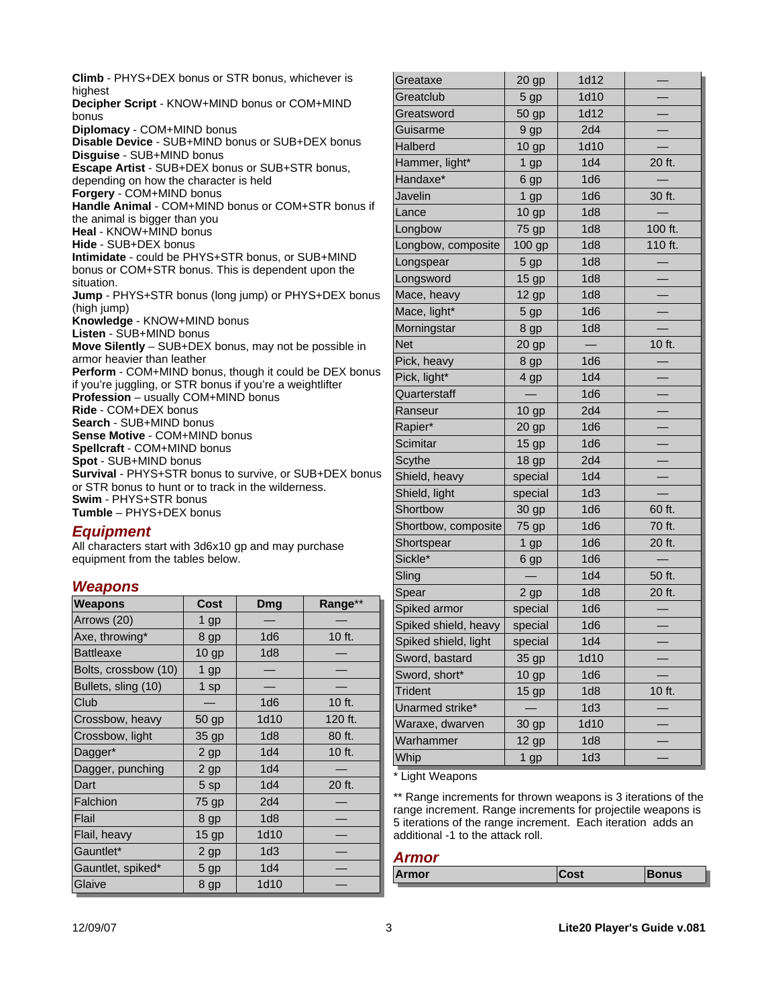**Climb** - PHYS+DEX bonus or STR bonus, whichever is highest **Decipher Script** - KNOW+MIND bonus or COM+MIND bonus **Diplomacy** - COM+MIND bonus **Disable Device** - SUB+MIND bonus or SUB+DEX bonus **Disguise** - SUB+MIND bonus **Escape Artist** - SUB+DEX bonus or SUB+STR bonus, depending on how the character is held **Forgery** - COM+MIND bonus **Handle Animal** - COM+MIND bonus or COM+STR bonus if the animal is bigger than you **Heal** - KNOW+MIND bonus **Hide** - SUB+DEX bonus **Intimidate** - could be PHYS+STR bonus, or SUB+MIND bonus or COM+STR bonus. This is dependent upon the situation. **Jump** - PHYS+STR bonus (long jump) or PHYS+DEX bonus (high jump) **Knowledge** - KNOW+MIND bonus **Listen** - SUB+MIND bonus **Move Silently** – SUB+DEX bonus, may not be possible in armor heavier than leather **Perform** - COM+MIND bonus, though it could be DEX bonus if you're juggling, or STR bonus if you're a weightlifter **Profession** – usually COM+MIND bonus **Ride** - COM+DEX bonus **Search** - SUB+MIND bonus **Sense Motive** - COM+MIND bonus **Spellcraft** - COM+MIND bonus **Spot** - SUB+MIND bonus **Survival** - PHYS+STR bonus to survive, or SUB+DEX bonus or STR bonus to hunt or to track in the wilderness. **Swim** - PHYS+STR bonus **Tumble** – PHYS+DEX bonus

# *Equipment*

All characters start with 3d6x10 gp and may purchase equipment from the tables below.

# *Weapons*

| <b>Weapons</b>       | Cost             | <b>Dmg</b>      | Range** |
|----------------------|------------------|-----------------|---------|
| Arrows (20)          | $1$ gp           |                 |         |
| Axe, throwing*       | 8 gp             | 1d6             | 10 ft.  |
| <b>Battleaxe</b>     | $10$ gp          | 1d8             |         |
| Bolts, crossbow (10) | $1$ gp           |                 |         |
| Bullets, sling (10)  | 1 sp             |                 |         |
| Club                 |                  | 1d6             | 10 ft.  |
| Crossbow, heavy      | 50 gp            | 1d10            | 120 ft. |
| Crossbow, light      | 35 gp            | 1d8             | 80 ft.  |
| Dagger*              | $2$ gp           | 1d4             | 10 ft.  |
| Dagger, punching     | $2$ gp           | 1d4             |         |
| Dart                 | 5 sp             | 1d4             | 20 ft.  |
| Falchion             | 75 gp            | 2d4             |         |
| Flail                | 8 gp             | 1d8             |         |
| Flail, heavy         | 15 <sub>gp</sub> | 1d10            |         |
| Gauntlet*            | 2 gp             | 1d3             |         |
| Gauntlet, spiked*    | 5 gp             | 1 <sub>d4</sub> |         |
| Glaive               | 8 gp             | 1d10            |         |

| Greataxe             | 20 gp            | 1d12 |         |
|----------------------|------------------|------|---------|
| Greatclub            | 5 gp             | 1d10 |         |
| Greatsword           | 50 gp            | 1d12 |         |
| Guisarme             | 9 gp             | 2d4  |         |
| Halberd              | 10 <sub>gp</sub> | 1d10 |         |
| Hammer, light*       | 1 gp             | 1d4  | 20 ft.  |
| Handaxe*             | 6 gp             | 1d6  |         |
| <b>Javelin</b>       | $1$ gp           | 1d6  | 30 ft.  |
| Lance                | $10$ gp          | 1d8  |         |
| Longbow              | 75 gp            | 1d8  | 100 ft. |
| Longbow, composite   | 100 gp           | 1d8  | 110 ft. |
| Longspear            | 5 gp             | 1d8  |         |
| Longsword            | 15 <sub>gp</sub> | 1d8  |         |
| Mace, heavy          | $12$ gp          | 1d8  |         |
| Mace, light*         | 5 gp             | 1d6  |         |
| Morningstar          | 8 gp             | 1d8  |         |
| <b>Net</b>           | 20 gp            |      | 10 ft.  |
| Pick, heavy          | 8 gp             | 1d6  |         |
| Pick, light*         | 4 gp             | 1d4  |         |
| Quarterstaff         |                  | 1d6  |         |
| Ranseur              | 10 <sub>gp</sub> | 2d4  |         |
| Rapier*              | $20$ gp          | 1d6  |         |
| Scimitar             | 15 <sub>gp</sub> | 1d6  |         |
| <b>Scythe</b>        | 18 <sub>gp</sub> | 2d4  |         |
| Shield, heavy        | special          | 1d4  |         |
| Shield, light        | special          | 1d3  |         |
| Shortbow             | 30 gp            | 1d6  | 60 ft.  |
| Shortbow, composite  | 75 gp            | 1d6  | 70 ft.  |
| Shortspear           | $1$ gp           | 1d6  | 20 ft.  |
| Sickle*              | 6 gp             | 1d6  |         |
| Sling                |                  | 1d4  | 50 ft.  |
| Spear                | 2 gp             | 1d8  | 20 ft.  |
| Spiked armor         | special          | 1d6  |         |
| Spiked shield, heavy | special          | 1d6  |         |
| Spiked shield, light | special          | 1d4  |         |
| Sword, bastard       | 35 gp            | 1d10 |         |
| Sword, short*        | $10$ gp          | 1d6  |         |
| <b>Trident</b>       | 15 gp            | 1d8  | 10 ft.  |
| Unarmed strike*      |                  | 1d3  |         |
| Waraxe, dwarven      | 30 gp            | 1d10 |         |
| Warhammer            | $12$ gp          | 1d8  |         |
| Whip                 | $1$ gp           | 1d3  |         |
|                      |                  |      |         |

\* Light Weapons

\*\* Range increments for thrown weapons is 3 iterations of the range increment. Range increments for projectile weapons is 5 iterations of the range increment. Each iteration adds an additional -1 to the attack roll.

#### *Armor*

| <b>Armor</b> | <b>Bonus</b> |
|--------------|--------------|
|              |              |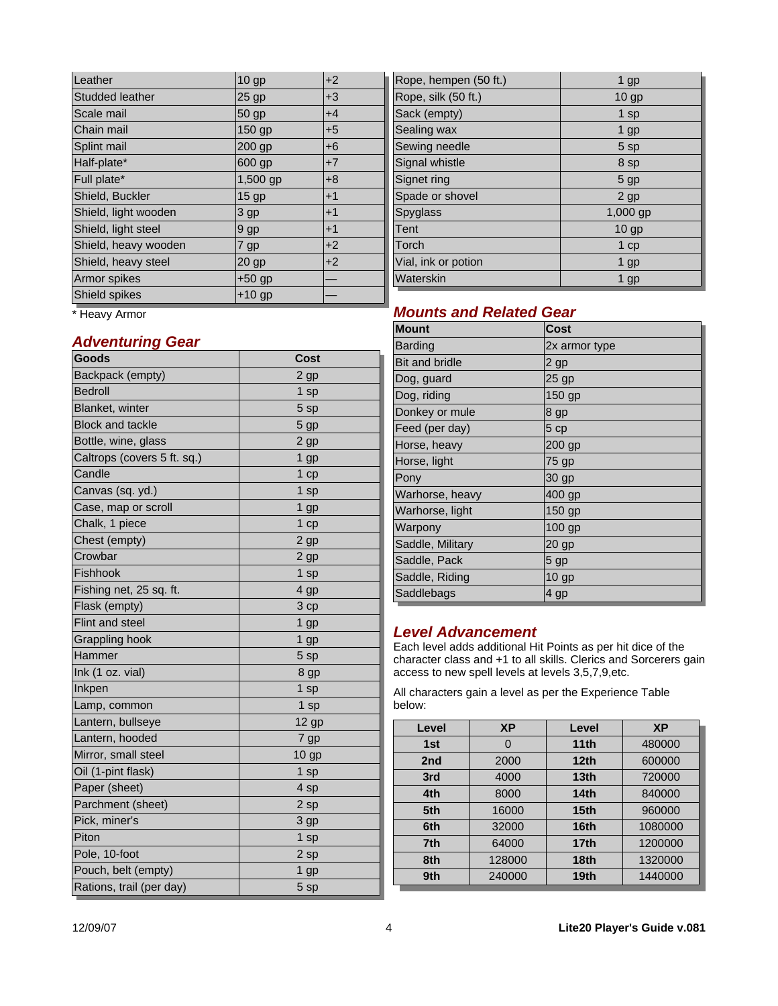| Leather              | $10$ gp          | $+2$ |
|----------------------|------------------|------|
| Studded leather      | $25$ gp          | $+3$ |
| Scale mail           | 50 gp            | $+4$ |
| Chain mail           | $150$ gp         | $+5$ |
| Splint mail          | $200$ gp         | $+6$ |
| Half-plate*          | 600 gp           | $+7$ |
| Full plate*          | $1,500$ gp       | $+8$ |
| Shield, Buckler      | 15 <sub>gp</sub> | $+1$ |
| Shield, light wooden | 3 gp             | $+1$ |
| Shield, light steel  | 9 gp             | $+1$ |
| Shield, heavy wooden | 7 gp             | $+2$ |
| Shield, heavy steel  | $20$ gp          | $+2$ |
| <b>Armor spikes</b>  | $+50$ gp         |      |
| Shield spikes        | $+10$ gp         |      |

\* Heavy Armor

# *Adventuring Gear*

| Goods                       | Cost    |  |
|-----------------------------|---------|--|
| Backpack (empty)            | 2 gp    |  |
| <b>Bedroll</b>              | 1 sp    |  |
| <b>Blanket, winter</b>      | 5 sp    |  |
| <b>Block and tackle</b>     | 5 gp    |  |
| Bottle, wine, glass         | 2 gp    |  |
| Caltrops (covers 5 ft. sq.) | 1 gp    |  |
| Candle                      | 1 cp    |  |
| Canvas (sq. yd.)            | 1 sp    |  |
| Case, map or scroll         | $1$ gp  |  |
| Chalk, 1 piece              | 1 cp    |  |
| Chest (empty)               | $2$ gp  |  |
| Crowbar                     | 2 gp    |  |
| Fishhook                    | 1 sp    |  |
| Fishing net, 25 sq. ft.     | 4 gp    |  |
| Flask (empty)               | 3 cp    |  |
| <b>Flint and steel</b>      | $1$ gp  |  |
| <b>Grappling hook</b>       | 1 gp    |  |
| Hammer                      | 5 sp    |  |
| Ink (1 oz. vial)            | 8 gp    |  |
| Inkpen                      | 1 sp    |  |
| Lamp, common                | 1 sp    |  |
| Lantern, bullseye           | $12$ gp |  |
| Lantern, hooded             | 7 gp    |  |
| Mirror, small steel         | $10$ gp |  |
| Oil (1-pint flask)          | 1 sp    |  |
| Paper (sheet)               | 4 sp    |  |
| Parchment (sheet)           | 2 sp    |  |
| Pick, miner's               | 3 gp    |  |
| Piton                       | $1$ sp  |  |
| Pole, 10-foot               | 2 sp    |  |
| Pouch, belt (empty)         | $1$ gp  |  |
| Rations, trail (per day)    | 5 sp    |  |

| Rope, hempen (50 ft.) | $1$ gp           |  |
|-----------------------|------------------|--|
| Rope, silk (50 ft.)   | 10 <sub>gp</sub> |  |
| Sack (empty)          | $1$ sp           |  |
| Sealing wax           | 1 gp             |  |
| Sewing needle         | 5sp              |  |
| Signal whistle        | 8 sp             |  |
| Signet ring           | 5 gp             |  |
| Spade or shovel       | 2 gp             |  |
| Spyglass              | $1,000$ gp       |  |
| Tent                  | $10$ gp          |  |
| Torch                 | 1 cp             |  |
| Vial, ink or potion   | 1 gp             |  |
| Waterskin             | $1$ gp           |  |

# *Mounts and Related Gear*

| <b>Mount</b>          | Cost             |
|-----------------------|------------------|
| <b>Barding</b>        | 2x armor type    |
| <b>Bit and bridle</b> | 2 gp             |
| Dog, guard            | $25$ gp          |
| Dog, riding           | 150 gp           |
| Donkey or mule        | 8 gp             |
| Feed (per day)        | 5 cp             |
| Horse, heavy          | 200 gp           |
| Horse, light          | 75 gp            |
| Pony                  | 30 gp            |
| Warhorse, heavy       | 400 gp           |
| Warhorse, light       | 150 gp           |
| Warpony               | 100 gp           |
| Saddle, Military      | $20$ gp          |
| Saddle, Pack          | 5 gp             |
| Saddle, Riding        | 10 <sub>gp</sub> |
| Saddlebags            | 4 gp             |

# *Level Advancement*

Each level adds additional Hit Points as per hit dice of the character class and +1 to all skills. Clerics and Sorcerers gain access to new spell levels at levels 3,5,7,9,etc.

All characters gain a level as per the Experience Table below:

| Level           | <b>XP</b> | Level            | <b>XP</b> |
|-----------------|-----------|------------------|-----------|
| 1st             | O         | 11 <sub>th</sub> | 480000    |
| 2 <sub>nd</sub> | 2000      | 12 <sub>th</sub> | 600000    |
| 3rd             | 4000      | 13 <sub>th</sub> | 720000    |
| 4th             | 8000      | 14 <sub>th</sub> | 840000    |
| 5th             | 16000     | 15th             | 960000    |
| 6th             | 32000     | 16th             | 1080000   |
| 7th             | 64000     | 17 <sub>th</sub> | 1200000   |
| 8th             | 128000    | 18th             | 1320000   |
| 9th             | 240000    | 19th             | 1440000   |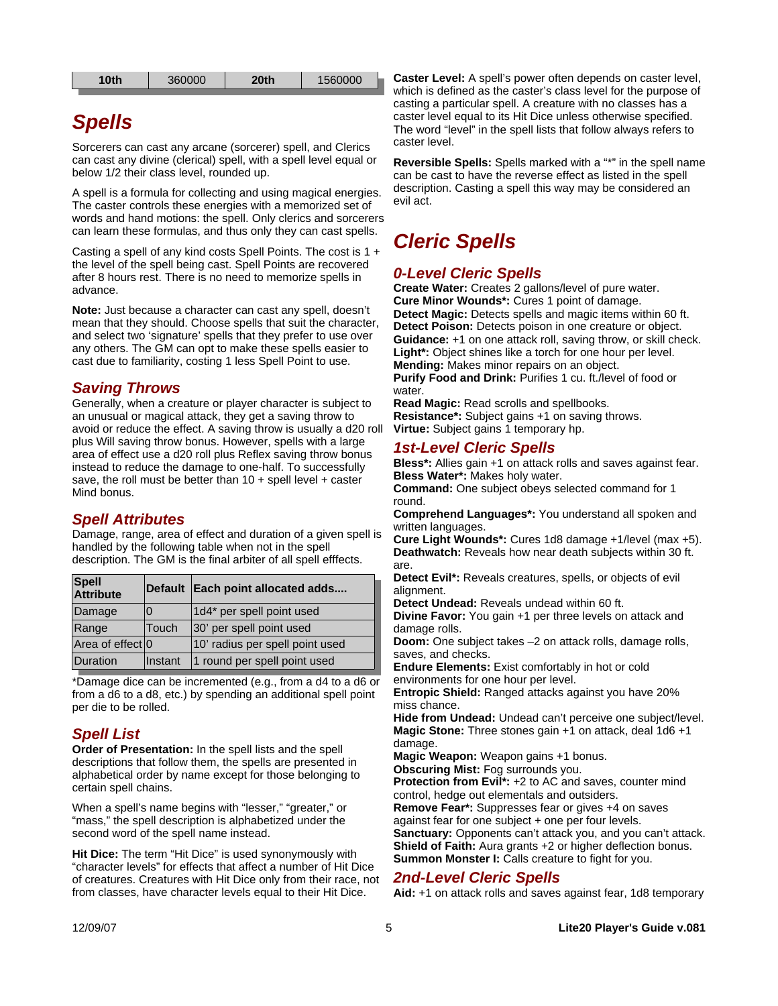| 360000<br>1560000<br>10th<br>20 <sub>th</sub> |
|-----------------------------------------------|
|-----------------------------------------------|

# *Spells*

Sorcerers can cast any arcane (sorcerer) spell, and Clerics can cast any divine (clerical) spell, with a spell level equal or below 1/2 their class level, rounded up.

A spell is a formula for collecting and using magical energies. The caster controls these energies with a memorized set of words and hand motions: the spell. Only clerics and sorcerers can learn these formulas, and thus only they can cast spells.

Casting a spell of any kind costs Spell Points. The cost is  $1 +$ the level of the spell being cast. Spell Points are recovered after 8 hours rest. There is no need to memorize spells in advance.

**Note:** Just because a character can cast any spell, doesn't mean that they should. Choose spells that suit the character, and select two 'signature' spells that they prefer to use over any others. The GM can opt to make these spells easier to cast due to familiarity, costing 1 less Spell Point to use.

# *Saving Throws*

Generally, when a creature or player character is subject to an unusual or magical attack, they get a saving throw to avoid or reduce the effect. A saving throw is usually a d20 roll plus Will saving throw bonus. However, spells with a large area of effect use a d20 roll plus Reflex saving throw bonus instead to reduce the damage to one-half. To successfully save, the roll must be better than  $10 +$  spell level  $+$  caster Mind bonus.

# *Spell Attributes*

Damage, range, area of effect and duration of a given spell is handled by the following table when not in the spell description. The GM is the final arbiter of all spell efffects.

| Spell<br>Attribute |         | Default Each point allocated adds |
|--------------------|---------|-----------------------------------|
| Damage             |         | 1d4* per spell point used         |
| Range              | Touch   | 30' per spell point used          |
| Area of effect 0   |         | 10' radius per spell point used   |
| <b>Duration</b>    | Instant | 1 round per spell point used      |

\*Damage dice can be incremented (e.g., from a d4 to a d6 or from a d6 to a d8, etc.) by spending an additional spell point per die to be rolled.

# *Spell List*

**Order of Presentation:** In the spell lists and the spell descriptions that follow them, the spells are presented in alphabetical order by name except for those belonging to certain spell chains.

When a spell's name begins with "lesser," "greater," or "mass," the spell description is alphabetized under the second word of the spell name instead.

**Hit Dice:** The term "Hit Dice" is used synonymously with "character levels" for effects that affect a number of Hit Dice of creatures. Creatures with Hit Dice only from their race, not from classes, have character levels equal to their Hit Dice.

**Caster Level:** A spell's power often depends on caster level, which is defined as the caster's class level for the purpose of casting a particular spell. A creature with no classes has a caster level equal to its Hit Dice unless otherwise specified. The word "level" in the spell lists that follow always refers to caster level.

**Reversible Spells:** Spells marked with a "\*" in the spell name can be cast to have the reverse effect as listed in the spell description. Casting a spell this way may be considered an evil act.

# *Cleric Spells*

# *0-Level Cleric Spells*

**Create Water:** Creates 2 gallons/level of pure water. **Cure Minor Wounds\*:** Cures 1 point of damage. **Detect Magic:** Detects spells and magic items within 60 ft. **Detect Poison:** Detects poison in one creature or object. **Guidance:** +1 on one attack roll, saving throw, or skill check. **Light\*:** Object shines like a torch for one hour per level. **Mending:** Makes minor repairs on an object. **Purify Food and Drink:** Purifies 1 cu. ft./level of food or water.

**Read Magic:** Read scrolls and spellbooks. **Resistance\*:** Subject gains +1 on saving throws. **Virtue:** Subject gains 1 temporary hp.

# *1st-Level Cleric Spells*

**Bless\*:** Allies gain +1 on attack rolls and saves against fear. **Bless Water\*:** Makes holy water.

**Command:** One subject obeys selected command for 1 round.

**Comprehend Languages\*:** You understand all spoken and written languages.

**Cure Light Wounds\*:** Cures 1d8 damage +1/level (max +5). **Deathwatch:** Reveals how near death subjects within 30 ft. are.

**Detect Evil\*:** Reveals creatures, spells, or objects of evil alignment.

**Detect Undead:** Reveals undead within 60 ft.

**Divine Favor:** You gain +1 per three levels on attack and damage rolls.

**Doom:** One subject takes –2 on attack rolls, damage rolls, saves, and checks.

**Endure Elements:** Exist comfortably in hot or cold environments for one hour per level.

**Entropic Shield:** Ranged attacks against you have 20% miss chance.

**Hide from Undead:** Undead can't perceive one subject/level. **Magic Stone:** Three stones gain +1 on attack, deal 1d6 +1 damage.

**Magic Weapon:** Weapon gains +1 bonus.

**Obscuring Mist:** Fog surrounds you.

**Protection from Evil\*:** +2 to AC and saves, counter mind control, hedge out elementals and outsiders.

**Remove Fear\*:** Suppresses fear or gives +4 on saves against fear for one subject + one per four levels.

**Sanctuary:** Opponents can't attack you, and you can't attack. **Shield of Faith:** Aura grants +2 or higher deflection bonus. **Summon Monster I:** Calls creature to fight for you.

# *2nd-Level Cleric Spells*

**Aid:** +1 on attack rolls and saves against fear, 1d8 temporary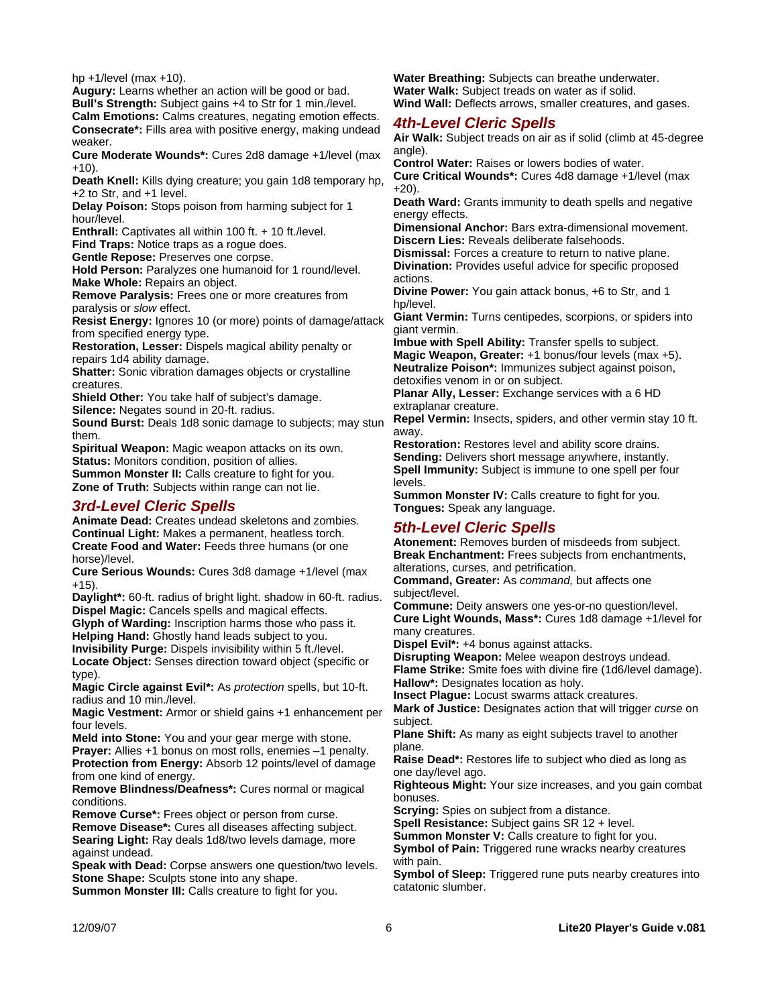hp  $+1$ /level (max  $+10$ ).

**Augury:** Learns whether an action will be good or bad. **Bull's Strength:** Subject gains +4 to Str for 1 min./level.

**Calm Emotions:** Calms creatures, negating emotion effects. **Consecrate\*:** Fills area with positive energy, making undead weaker.

**Cure Moderate Wounds\*:** Cures 2d8 damage +1/level (max +10).

**Death Knell:** Kills dying creature; you gain 1d8 temporary hp, +2 to Str, and +1 level.

**Delay Poison:** Stops poison from harming subject for 1 hour/level.

**Enthrall:** Captivates all within 100 ft. + 10 ft./level.

**Find Traps:** Notice traps as a rogue does.

**Gentle Repose:** Preserves one corpse.

Hold Person: Paralyzes one humanoid for 1 round/level. **Make Whole:** Repairs an object.

**Remove Paralysis:** Frees one or more creatures from paralysis or *slow* effect.

**Resist Energy:** Ignores 10 (or more) points of damage/attack from specified energy type.

**Restoration, Lesser:** Dispels magical ability penalty or repairs 1d4 ability damage.

**Shatter:** Sonic vibration damages objects or crystalline creatures.

**Shield Other:** You take half of subject's damage.

**Silence:** Negates sound in 20-ft. radius.

**Sound Burst:** Deals 1d8 sonic damage to subjects; may stun them.

**Spiritual Weapon:** Magic weapon attacks on its own. **Status:** Monitors condition, position of allies. **Summon Monster II:** Calls creature to fight for you.

**Zone of Truth:** Subjects within range can not lie.

# *3rd-Level Cleric Spells*

**Animate Dead:** Creates undead skeletons and zombies. **Continual Light:** Makes a permanent, heatless torch. **Create Food and Water:** Feeds three humans (or one horse)/level.

**Cure Serious Wounds:** Cures 3d8 damage +1/level (max  $+15$ ).

**Daylight\*:** 60-ft. radius of bright light. shadow in 60-ft. radius. **Dispel Magic:** Cancels spells and magical effects.

**Glyph of Warding:** Inscription harms those who pass it. **Helping Hand:** Ghostly hand leads subject to you. **Invisibility Purge:** Dispels invisibility within 5 ft./level.

**Locate Object:** Senses direction toward object (specific or type).

**Magic Circle against Evil\*:** As *protection* spells, but 10-ft. radius and 10 min./level.

**Magic Vestment:** Armor or shield gains +1 enhancement per four levels.

**Meld into Stone:** You and your gear merge with stone. **Prayer:** Allies +1 bonus on most rolls, enemies -1 penalty. **Protection from Energy:** Absorb 12 points/level of damage from one kind of energy.

**Remove Blindness/Deafness\*:** Cures normal or magical conditions.

**Remove Curse\*:** Frees object or person from curse. **Remove Disease\*:** Cures all diseases affecting subject. **Searing Light:** Ray deals 1d8/two levels damage, more against undead.

**Speak with Dead:** Corpse answers one question/two levels. **Stone Shape:** Sculpts stone into any shape.

**Summon Monster III:** Calls creature to fight for you.

**Water Breathing:** Subjects can breathe underwater. **Water Walk:** Subject treads on water as if solid. **Wind Wall:** Deflects arrows, smaller creatures, and gases.

#### *4th-Level Cleric Spells*

**Air Walk:** Subject treads on air as if solid (climb at 45-degree angle).

**Control Water:** Raises or lowers bodies of water. **Cure Critical Wounds\*:** Cures 4d8 damage +1/level (max +20).

**Death Ward:** Grants immunity to death spells and negative energy effects.

**Dimensional Anchor:** Bars extra-dimensional movement. **Discern Lies:** Reveals deliberate falsehoods.

**Dismissal:** Forces a creature to return to native plane. **Divination:** Provides useful advice for specific proposed actions.

**Divine Power:** You gain attack bonus, +6 to Str, and 1 hp/level.

**Giant Vermin:** Turns centipedes, scorpions, or spiders into giant vermin.

**Imbue with Spell Ability:** Transfer spells to subject. **Magic Weapon, Greater:** +1 bonus/four levels (max +5). **Neutralize Poison\*:** Immunizes subject against poison, detoxifies venom in or on subject.

**Planar Ally, Lesser:** Exchange services with a 6 HD extraplanar creature.

**Repel Vermin:** Insects, spiders, and other vermin stay 10 ft. away.

**Restoration:** Restores level and ability score drains. **Sending:** Delivers short message anywhere, instantly. **Spell Immunity:** Subject is immune to one spell per four levels.

**Summon Monster IV:** Calls creature to fight for you. **Tongues:** Speak any language.

# *5th-Level Cleric Spells*

**Atonement:** Removes burden of misdeeds from subject. **Break Enchantment:** Frees subjects from enchantments, alterations, curses, and petrification.

**Command, Greater:** As *command,* but affects one subject/level.

**Commune:** Deity answers one yes-or-no question/level. **Cure Light Wounds, Mass\*:** Cures 1d8 damage +1/level for many creatures.

**Dispel Evil\*:** +4 bonus against attacks.

**Disrupting Weapon:** Melee weapon destroys undead. **Flame Strike:** Smite foes with divine fire (1d6/level damage). **Hallow\*:** Designates location as holy.

**Insect Plague:** Locust swarms attack creatures.

**Mark of Justice:** Designates action that will trigger *curse* on subject.

**Plane Shift:** As many as eight subjects travel to another plane.

**Raise Dead\*:** Restores life to subject who died as long as one day/level ago.

**Righteous Might:** Your size increases, and you gain combat bonuses.

**Scrying:** Spies on subject from a distance.

**Spell Resistance:** Subject gains SR 12 + level.

**Summon Monster V:** Calls creature to fight for you. **Symbol of Pain:** Triggered rune wracks nearby creatures

with pain. **Symbol of Sleep:** Triggered rune puts nearby creatures into catatonic slumber.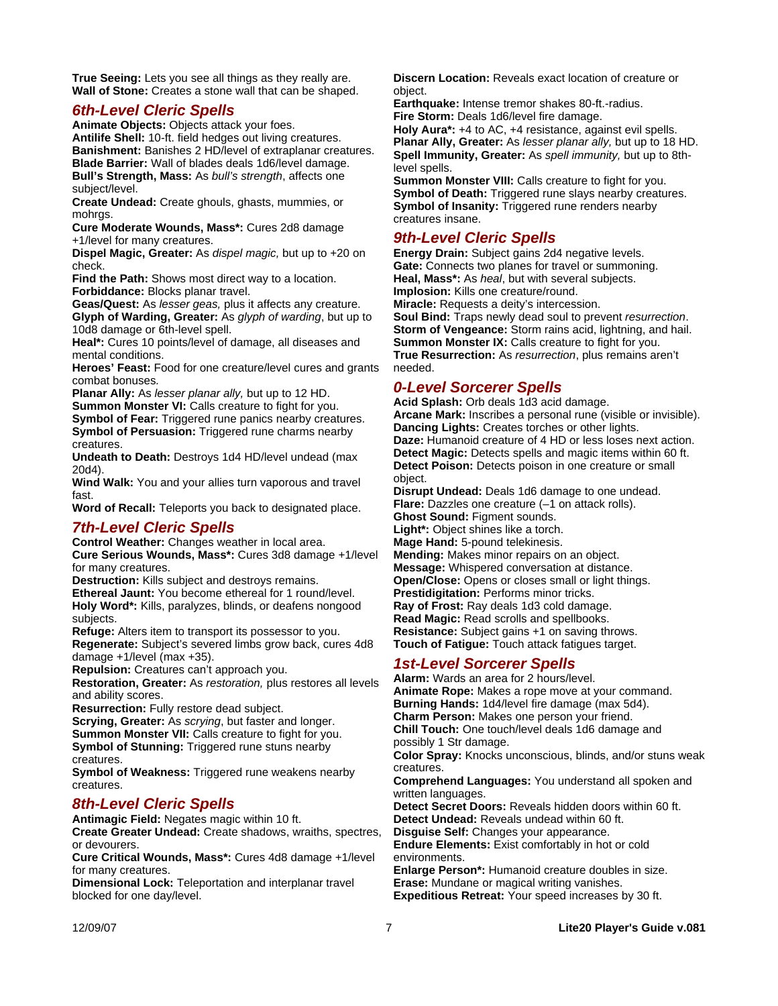**True Seeing:** Lets you see all things as they really are. **Wall of Stone:** Creates a stone wall that can be shaped.

# *6th-Level Cleric Spells*

**Animate Objects:** Objects attack your foes. **Antilife Shell:** 10-ft. field hedges out living creatures. **Banishment:** Banishes 2 HD/level of extraplanar creatures. **Blade Barrier:** Wall of blades deals 1d6/level damage.

**Bull's Strength, Mass:** As *bull's strength*, affects one subject/level.

**Create Undead:** Create ghouls, ghasts, mummies, or mohrgs.

**Cure Moderate Wounds, Mass\*:** Cures 2d8 damage +1/level for many creatures.

**Dispel Magic, Greater:** As *dispel magic,* but up to +20 on check.

**Find the Path:** Shows most direct way to a location. **Forbiddance:** Blocks planar travel.

**Geas/Quest:** As *lesser geas,* plus it affects any creature. **Glyph of Warding, Greater:** As *glyph of warding*, but up to 10d8 damage or 6th-level spell.

**Heal\*:** Cures 10 points/level of damage, all diseases and mental conditions.

**Heroes' Feast:** Food for one creature/level cures and grants combat bonuses*.*

**Planar Ally:** As *lesser planar ally,* but up to 12 HD.

**Summon Monster VI:** Calls creature to fight for you.

**Symbol of Fear:** Triggered rune panics nearby creatures. **Symbol of Persuasion:** Triggered rune charms nearby creatures.

**Undeath to Death:** Destroys 1d4 HD/level undead (max 20d4).

**Wind Walk:** You and your allies turn vaporous and travel fast.

**Word of Recall:** Teleports you back to designated place.

# *7th-Level Cleric Spells*

**Control Weather:** Changes weather in local area.

**Cure Serious Wounds, Mass\*:** Cures 3d8 damage +1/level for many creatures.

**Destruction:** Kills subject and destroys remains.

**Ethereal Jaunt:** You become ethereal for 1 round/level. **Holy Word\*:** Kills, paralyzes, blinds, or deafens nongood subjects.

**Refuge:** Alters item to transport its possessor to you. **Regenerate:** Subject's severed limbs grow back, cures 4d8 damage +1/level (max +35).

**Repulsion:** Creatures can't approach you.

**Restoration, Greater:** As *restoration,* plus restores all levels and ability scores.

**Resurrection:** Fully restore dead subject.

**Scrying, Greater:** As *scrying*, but faster and longer. **Summon Monster VII:** Calls creature to fight for you. **Symbol of Stunning:** Triggered rune stuns nearby creatures.

**Symbol of Weakness:** Triggered rune weakens nearby creatures.

# *8th-Level Cleric Spells*

**Antimagic Field:** Negates magic within 10 ft. **Create Greater Undead:** Create shadows, wraiths, spectres, or devourers.

**Cure Critical Wounds, Mass\*:** Cures 4d8 damage +1/level for many creatures.

**Dimensional Lock:** Teleportation and interplanar travel blocked for one day/level.

**Discern Location:** Reveals exact location of creature or object.

**Earthquake:** Intense tremor shakes 80-ft.-radius. **Fire Storm:** Deals 1d6/level fire damage.

**Holy Aura\*:** +4 to AC, +4 resistance, against evil spells. **Planar Ally, Greater:** As *lesser planar ally,* but up to 18 HD. **Spell Immunity, Greater:** As *spell immunity,* but up to 8thlevel spells.

**Summon Monster VIII:** Calls creature to fight for you. **Symbol of Death:** Triggered rune slays nearby creatures. **Symbol of Insanity:** Triggered rune renders nearby creatures insane.

# *9th-Level Cleric Spells*

**Energy Drain:** Subject gains 2d4 negative levels. **Gate:** Connects two planes for travel or summoning. **Heal, Mass\*:** As *heal*, but with several subjects. **Implosion:** Kills one creature/round. **Miracle:** Requests a deity's intercession.

**Soul Bind:** Traps newly dead soul to prevent *resurrection*. **Storm of Vengeance:** Storm rains acid, lightning, and hail. **Summon Monster IX:** Calls creature to fight for you. **True Resurrection:** As *resurrection*, plus remains aren't needed.

# *0-Level Sorcerer Spells*

**Acid Splash:** Orb deals 1d3 acid damage. **Arcane Mark:** Inscribes a personal rune (visible or invisible). **Dancing Lights:** Creates torches or other lights. **Daze:** Humanoid creature of 4 HD or less loses next action. **Detect Magic:** Detects spells and magic items within 60 ft. **Detect Poison:** Detects poison in one creature or small object. **Disrupt Undead:** Deals 1d6 damage to one undead.

**Flare:** Dazzles one creature (–1 on attack rolls). **Ghost Sound:** Figment sounds. **Light\*:** Object shines like a torch. **Mage Hand:** 5-pound telekinesis. **Mending:** Makes minor repairs on an object. **Message:** Whispered conversation at distance. **Open/Close:** Opens or closes small or light things. **Prestidigitation:** Performs minor tricks. **Ray of Frost:** Ray deals 1d3 cold damage. **Read Magic:** Read scrolls and spellbooks. **Resistance:** Subject gains +1 on saving throws. **Touch of Fatigue:** Touch attack fatigues target.

# *1st-Level Sorcerer Spells*

**Alarm:** Wards an area for 2 hours/level. **Animate Rope:** Makes a rope move at your command. **Burning Hands:** 1d4/level fire damage (max 5d4). **Charm Person:** Makes one person your friend. **Chill Touch:** One touch/level deals 1d6 damage and possibly 1 Str damage. **Color Spray:** Knocks unconscious, blinds, and/or stuns weak creatures. **Comprehend Languages:** You understand all spoken and written languages. **Detect Secret Doors:** Reveals hidden doors within 60 ft. **Detect Undead:** Reveals undead within 60 ft. **Disguise Self:** Changes your appearance. **Endure Elements:** Exist comfortably in hot or cold environments. **Enlarge Person\*:** Humanoid creature doubles in size.

**Erase:** Mundane or magical writing vanishes. **Expeditious Retreat:** Your speed increases by 30 ft.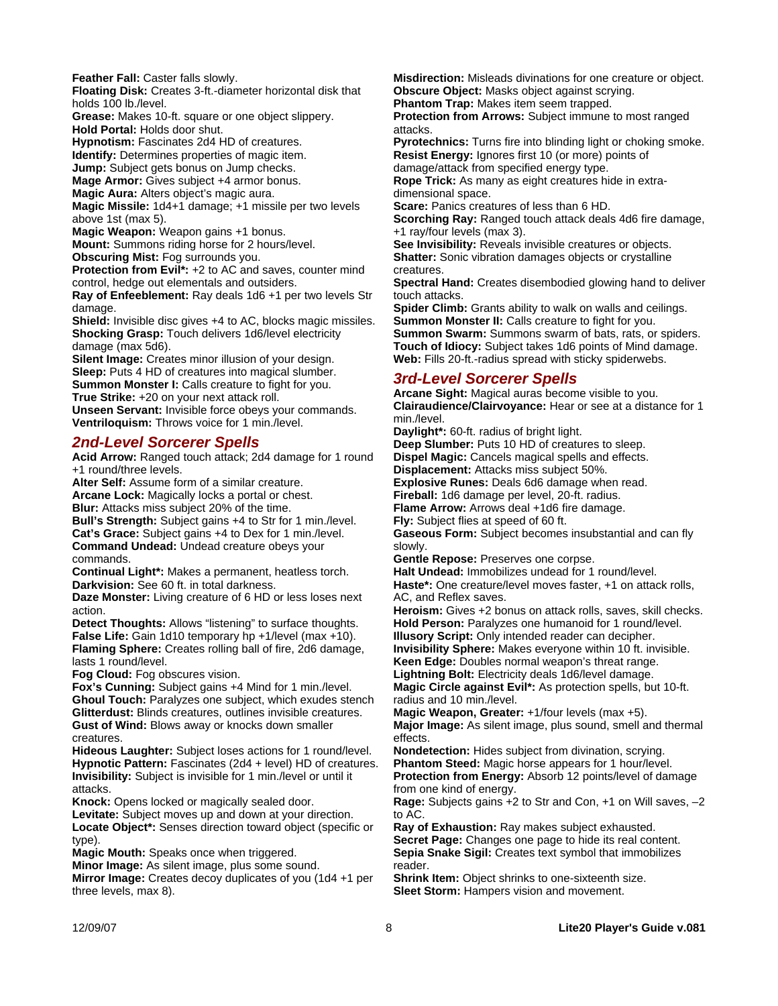**Feather Fall:** Caster falls slowly.

**Floating Disk:** Creates 3-ft.-diameter horizontal disk that holds 100 lb./level.

**Grease:** Makes 10-ft. square or one object slippery. **Hold Portal:** Holds door shut.

**Hypnotism:** Fascinates 2d4 HD of creatures.

**Identify:** Determines properties of magic item.

**Jump:** Subject gets bonus on Jump checks.

**Mage Armor:** Gives subject +4 armor bonus.

**Magic Aura:** Alters object's magic aura.

**Magic Missile:** 1d4+1 damage; +1 missile per two levels above 1st (max 5).

**Magic Weapon:** Weapon gains +1 bonus.

**Mount:** Summons riding horse for 2 hours/level.

**Obscuring Mist:** Fog surrounds you.

**Protection from Evil\*:** +2 to AC and saves, counter mind control, hedge out elementals and outsiders.

**Ray of Enfeeblement:** Ray deals 1d6 +1 per two levels Str damage.

**Shield:** Invisible disc gives +4 to AC, blocks magic missiles. **Shocking Grasp:** Touch delivers 1d6/level electricity damage (max 5d6).

**Silent Image:** Creates minor illusion of your design.

**Sleep:** Puts 4 HD of creatures into magical slumber. **Summon Monster I:** Calls creature to fight for you.

**True Strike:** +20 on your next attack roll.

**Unseen Servant:** Invisible force obeys your commands. **Ventriloquism:** Throws voice for 1 min./level.

#### *2nd-Level Sorcerer Spells*

Acid Arrow: Ranged touch attack; 2d4 damage for 1 round +1 round/three levels.

**Alter Self:** Assume form of a similar creature.

**Arcane Lock:** Magically locks a portal or chest. **Blur:** Attacks miss subject 20% of the time.

**Bull's Strength:** Subject gains +4 to Str for 1 min./level. **Cat's Grace:** Subject gains +4 to Dex for 1 min./level. **Command Undead:** Undead creature obeys your commands.

**Continual Light\*:** Makes a permanent, heatless torch. **Darkvision:** See 60 ft. in total darkness.

**Daze Monster:** Living creature of 6 HD or less loses next action.

**Detect Thoughts:** Allows "listening" to surface thoughts. **False Life:** Gain 1d10 temporary hp +1/level (max +10). **Flaming Sphere:** Creates rolling ball of fire, 2d6 damage, lasts 1 round/level.

**Fog Cloud:** Fog obscures vision.

**Fox's Cunning:** Subject gains +4 Mind for 1 min./level. **Ghoul Touch:** Paralyzes one subject, which exudes stench **Glitterdust:** Blinds creatures, outlines invisible creatures. **Gust of Wind:** Blows away or knocks down smaller creatures.

**Hideous Laughter:** Subject loses actions for 1 round/level. **Hypnotic Pattern:** Fascinates (2d4 + level) HD of creatures. **Invisibility:** Subject is invisible for 1 min./level or until it attacks.

**Knock:** Opens locked or magically sealed door.

**Levitate:** Subject moves up and down at your direction. **Locate Object\*:** Senses direction toward object (specific or type).

**Magic Mouth:** Speaks once when triggered.

**Minor Image:** As silent image, plus some sound.

**Mirror Image:** Creates decoy duplicates of you (1d4 +1 per three levels, max 8).

**Misdirection:** Misleads divinations for one creature or object. **Obscure Object:** Masks object against scrying.

**Phantom Trap:** Makes item seem trapped.

**Protection from Arrows:** Subject immune to most ranged attacks.

**Pyrotechnics:** Turns fire into blinding light or choking smoke. **Resist Energy:** Ignores first 10 (or more) points of

damage/attack from specified energy type.

**Rope Trick:** As many as eight creatures hide in extradimensional space.

**Scare:** Panics creatures of less than 6 HD.

**Scorching Ray:** Ranged touch attack deals 4d6 fire damage, +1 ray/four levels (max 3).

**See Invisibility:** Reveals invisible creatures or objects. **Shatter:** Sonic vibration damages objects or crystalline creatures.

**Spectral Hand:** Creates disembodied glowing hand to deliver touch attacks.

**Spider Climb:** Grants ability to walk on walls and ceilings. **Summon Monster II:** Calls creature to fight for you. **Summon Swarm:** Summons swarm of bats, rats, or spiders. **Touch of Idiocy:** Subject takes 1d6 points of Mind damage. **Web:** Fills 20-ft.-radius spread with sticky spiderwebs.

# *3rd-Level Sorcerer Spells*

**Arcane Sight:** Magical auras become visible to you. **Clairaudience/Clairvoyance:** Hear or see at a distance for 1 min./level.

**Daylight\*:** 60-ft. radius of bright light.

**Deep Slumber:** Puts 10 HD of creatures to sleep.

**Dispel Magic:** Cancels magical spells and effects.

**Displacement:** Attacks miss subject 50%. **Explosive Runes:** Deals 6d6 damage when read.

**Fireball:** 1d6 damage per level, 20-ft. radius.

**Flame Arrow:** Arrows deal +1d6 fire damage.

**Fly:** Subject flies at speed of 60 ft.

**Gaseous Form:** Subject becomes insubstantial and can fly slowly.

**Gentle Repose:** Preserves one corpse.

Halt Undead: Immobilizes undead for 1 round/level. **Haste\*:** One creature/level moves faster, +1 on attack rolls, AC, and Reflex saves.

**Heroism:** Gives +2 bonus on attack rolls, saves, skill checks. **Hold Person:** Paralyzes one humanoid for 1 round/level. **Illusory Script:** Only intended reader can decipher.

**Invisibility Sphere:** Makes everyone within 10 ft. invisible. **Keen Edge:** Doubles normal weapon's threat range.

**Lightning Bolt:** Electricity deals 1d6/level damage.

**Magic Circle against Evil\*:** As protection spells, but 10-ft. radius and 10 min./level.

**Magic Weapon, Greater:** +1/four levels (max +5). **Major Image:** As silent image, plus sound, smell and thermal effects.

**Nondetection:** Hides subject from divination, scrying. **Phantom Steed:** Magic horse appears for 1 hour/level. **Protection from Energy:** Absorb 12 points/level of damage from one kind of energy.

**Rage:** Subjects gains +2 to Str and Con, +1 on Will saves, –2 to AC.

**Ray of Exhaustion:** Ray makes subject exhausted. **Secret Page:** Changes one page to hide its real content. **Sepia Snake Sigil:** Creates text symbol that immobilizes reader.

**Shrink Item:** Object shrinks to one-sixteenth size. **Sleet Storm:** Hampers vision and movement.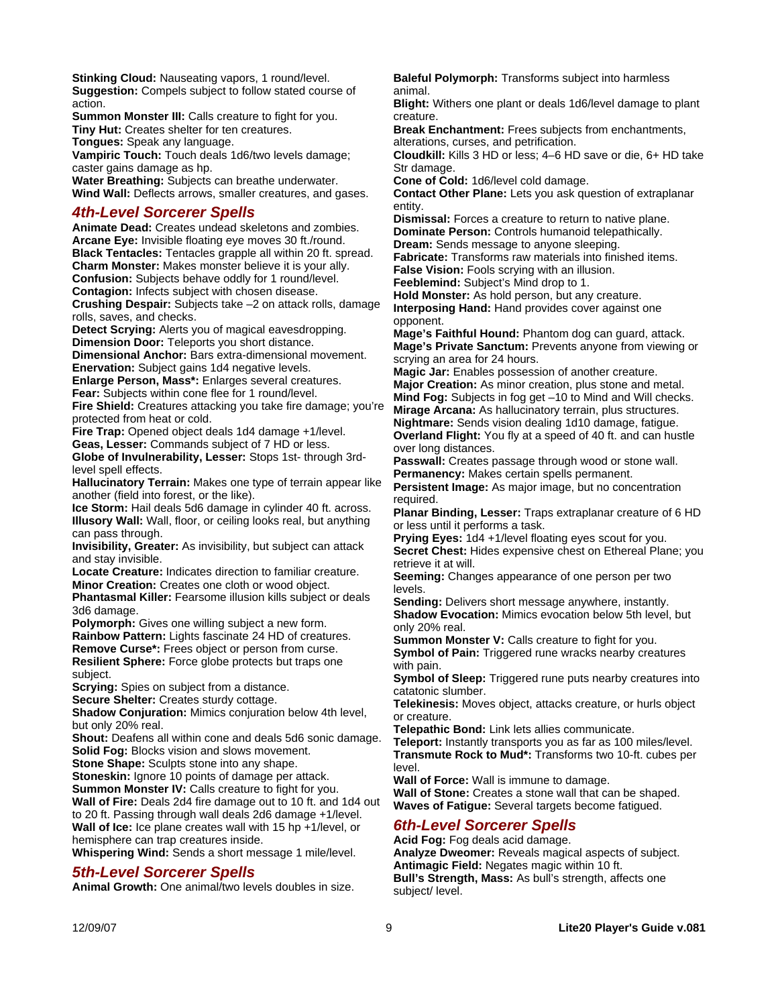**Stinking Cloud:** Nauseating vapors, 1 round/level. **Suggestion:** Compels subject to follow stated course of action.

**Summon Monster III:** Calls creature to fight for you. **Tiny Hut:** Creates shelter for ten creatures.

**Tongues:** Speak any language.

**Vampiric Touch:** Touch deals 1d6/two levels damage; caster gains damage as hp.

**Water Breathing:** Subjects can breathe underwater. **Wind Wall:** Deflects arrows, smaller creatures, and gases.

# *4th-Level Sorcerer Spells*

**Animate Dead:** Creates undead skeletons and zombies. **Arcane Eye:** Invisible floating eye moves 30 ft./round. **Black Tentacles:** Tentacles grapple all within 20 ft. spread. **Charm Monster:** Makes monster believe it is your ally. **Confusion:** Subjects behave oddly for 1 round/level. **Contagion:** Infects subject with chosen disease.

**Crushing Despair:** Subjects take –2 on attack rolls, damage rolls, saves, and checks.

**Detect Scrying:** Alerts you of magical eavesdropping. **Dimension Door:** Teleports you short distance.

**Dimensional Anchor:** Bars extra-dimensional movement. **Enervation:** Subject gains 1d4 negative levels.

**Enlarge Person, Mass\*:** Enlarges several creatures. Fear: Subjects within cone flee for 1 round/level.

**Fire Shield:** Creatures attacking you take fire damage; you're protected from heat or cold.

**Fire Trap:** Opened object deals 1d4 damage +1/level.

**Geas, Lesser:** Commands subject of 7 HD or less. **Globe of Invulnerability, Lesser:** Stops 1st- through 3rdlevel spell effects.

**Hallucinatory Terrain:** Makes one type of terrain appear like another (field into forest, or the like).

**Ice Storm:** Hail deals 5d6 damage in cylinder 40 ft. across. **Illusory Wall:** Wall, floor, or ceiling looks real, but anything can pass through.

**Invisibility, Greater:** As invisibility, but subject can attack and stay invisible.

**Locate Creature:** Indicates direction to familiar creature. **Minor Creation:** Creates one cloth or wood object.

**Phantasmal Killer:** Fearsome illusion kills subject or deals 3d6 damage.

**Polymorph:** Gives one willing subject a new form.

**Rainbow Pattern:** Lights fascinate 24 HD of creatures. **Remove Curse\*:** Frees object or person from curse.

**Resilient Sphere:** Force globe protects but traps one subject.

**Scrying:** Spies on subject from a distance.

**Secure Shelter:** Creates sturdy cottage.

**Shadow Conjuration:** Mimics conjuration below 4th level, but only 20% real.

**Shout:** Deafens all within cone and deals 5d6 sonic damage. **Solid Fog:** Blocks vision and slows movement.

**Stone Shape:** Sculpts stone into any shape.

**Stoneskin:** Ignore 10 points of damage per attack.

**Summon Monster IV:** Calls creature to fight for you.

**Wall of Fire:** Deals 2d4 fire damage out to 10 ft. and 1d4 out to 20 ft. Passing through wall deals 2d6 damage +1/level. **Wall of Ice:** Ice plane creates wall with 15 hp +1/level, or

hemisphere can trap creatures inside. **Whispering Wind:** Sends a short message 1 mile/level.

# *5th-Level Sorcerer Spells*

**Animal Growth:** One animal/two levels doubles in size.

**Baleful Polymorph:** Transforms subject into harmless animal.

**Blight:** Withers one plant or deals 1d6/level damage to plant creature.

**Break Enchantment:** Frees subjects from enchantments, alterations, curses, and petrification.

**Cloudkill:** Kills 3 HD or less; 4–6 HD save or die, 6+ HD take Str damage.

**Cone of Cold:** 1d6/level cold damage.

**Contact Other Plane:** Lets you ask question of extraplanar entity.

**Dismissal:** Forces a creature to return to native plane. **Dominate Person:** Controls humanoid telepathically.

**Dream:** Sends message to anyone sleeping.

**Fabricate:** Transforms raw materials into finished items. **False Vision:** Fools scrying with an illusion.

**Feeblemind:** Subject's Mind drop to 1.

**Hold Monster:** As hold person, but any creature. **Interposing Hand:** Hand provides cover against one opponent.

**Mage's Faithful Hound:** Phantom dog can guard, attack. **Mage's Private Sanctum:** Prevents anyone from viewing or scrying an area for 24 hours.

**Magic Jar:** Enables possession of another creature. **Major Creation:** As minor creation, plus stone and metal. **Mind Fog:** Subjects in fog get –10 to Mind and Will checks. **Mirage Arcana:** As hallucinatory terrain, plus structures.

**Nightmare:** Sends vision dealing 1d10 damage, fatigue. **Overland Flight:** You fly at a speed of 40 ft. and can hustle over long distances.

**Passwall:** Creates passage through wood or stone wall. **Permanency:** Makes certain spells permanent.

**Persistent Image:** As major image, but no concentration required.

**Planar Binding, Lesser:** Traps extraplanar creature of 6 HD or less until it performs a task.

**Prying Eyes:** 1d4 +1/level floating eyes scout for you. **Secret Chest:** Hides expensive chest on Ethereal Plane; you retrieve it at will.

**Seeming:** Changes appearance of one person per two levels.

**Sending:** Delivers short message anywhere, instantly. **Shadow Evocation:** Mimics evocation below 5th level, but only 20% real.

**Summon Monster V: Calls creature to fight for you. Symbol of Pain:** Triggered rune wracks nearby creatures with pain.

**Symbol of Sleep:** Triggered rune puts nearby creatures into catatonic slumber.

**Telekinesis:** Moves object, attacks creature, or hurls object or creature.

**Telepathic Bond:** Link lets allies communicate.

**Teleport:** Instantly transports you as far as 100 miles/level. **Transmute Rock to Mud\*:** Transforms two 10-ft. cubes per level.

**Wall of Force:** Wall is immune to damage.

**Wall of Stone:** Creates a stone wall that can be shaped. **Waves of Fatigue:** Several targets become fatigued.

# *6th-Level Sorcerer Spells*

**Acid Fog:** Fog deals acid damage.

**Analyze Dweomer:** Reveals magical aspects of subject. **Antimagic Field:** Negates magic within 10 ft. **Bull's Strength, Mass:** As bull's strength, affects one subject/ level.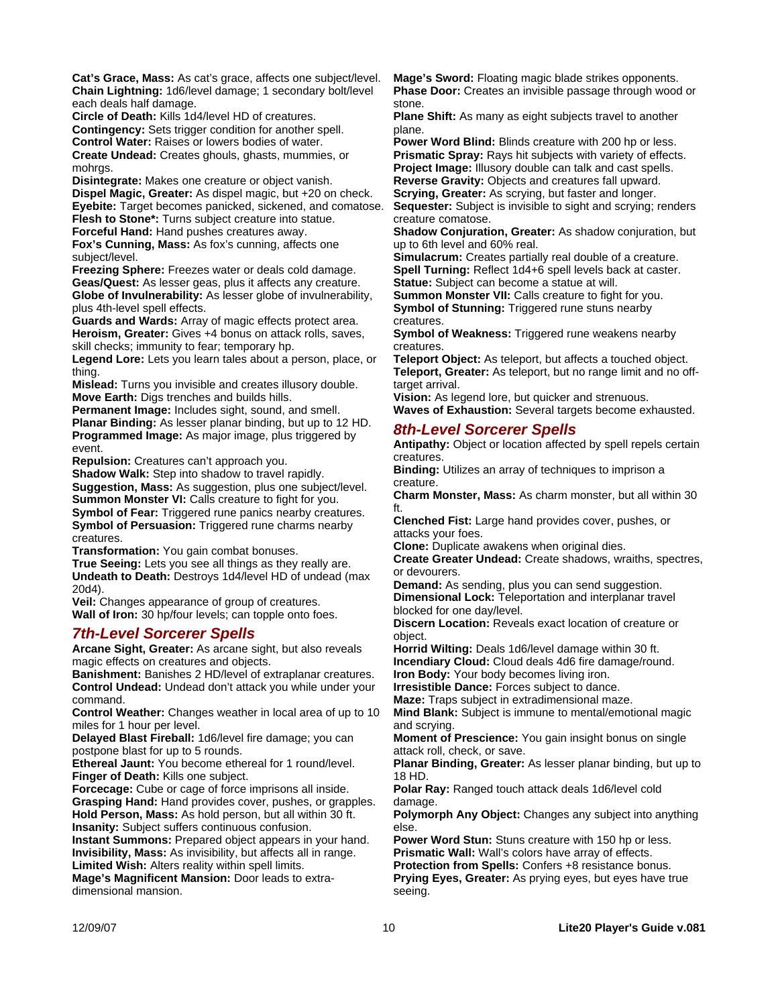**Cat's Grace, Mass:** As cat's grace, affects one subject/level. **Chain Lightning:** 1d6/level damage; 1 secondary bolt/level each deals half damage.

**Circle of Death:** Kills 1d4/level HD of creatures. **Contingency:** Sets trigger condition for another spell. **Control Water:** Raises or lowers bodies of water.

**Create Undead:** Creates ghouls, ghasts, mummies, or mohrgs.

**Disintegrate:** Makes one creature or object vanish. **Dispel Magic, Greater:** As dispel magic, but +20 on check. **Eyebite:** Target becomes panicked, sickened, and comatose.

**Flesh to Stone\*:** Turns subject creature into statue.

**Forceful Hand:** Hand pushes creatures away.

**Fox's Cunning, Mass:** As fox's cunning, affects one subject/level.

**Freezing Sphere:** Freezes water or deals cold damage. **Geas/Quest:** As lesser geas, plus it affects any creature. **Globe of Invulnerability:** As lesser globe of invulnerability, plus 4th-level spell effects.

**Guards and Wards:** Array of magic effects protect area. **Heroism, Greater:** Gives +4 bonus on attack rolls, saves, skill checks; immunity to fear; temporary hp.

**Legend Lore:** Lets you learn tales about a person, place, or thing.

**Mislead:** Turns you invisible and creates illusory double. **Move Earth:** Digs trenches and builds hills.

**Permanent Image:** Includes sight, sound, and smell.

**Planar Binding:** As lesser planar binding, but up to 12 HD. **Programmed Image:** As major image, plus triggered by event.

**Repulsion:** Creatures can't approach you.

**Shadow Walk:** Step into shadow to travel rapidly. **Suggestion, Mass:** As suggestion, plus one subject/level.

**Summon Monster VI:** Calls creature to fight for you. **Symbol of Fear:** Triggered rune panics nearby creatures.

**Symbol of Persuasion:** Triggered rune charms nearby creatures.

**Transformation:** You gain combat bonuses.

**True Seeing:** Lets you see all things as they really are. **Undeath to Death:** Destroys 1d4/level HD of undead (max 20d4).

**Veil:** Changes appearance of group of creatures. **Wall of Iron:** 30 hp/four levels; can topple onto foes.

# *7th-Level Sorcerer Spells*

**Arcane Sight, Greater:** As arcane sight, but also reveals magic effects on creatures and objects.

**Banishment:** Banishes 2 HD/level of extraplanar creatures. **Control Undead:** Undead don't attack you while under your command.

**Control Weather:** Changes weather in local area of up to 10 miles for 1 hour per level.

**Delayed Blast Fireball:** 1d6/level fire damage; you can postpone blast for up to 5 rounds.

**Ethereal Jaunt:** You become ethereal for 1 round/level. **Finger of Death:** Kills one subject.

**Forcecage:** Cube or cage of force imprisons all inside. **Grasping Hand:** Hand provides cover, pushes, or grapples. **Hold Person, Mass:** As hold person, but all within 30 ft.

**Insanity:** Subject suffers continuous confusion. **Instant Summons:** Prepared object appears in your hand. **Invisibility, Mass:** As invisibility, but affects all in range. **Limited Wish:** Alters reality within spell limits.

**Mage's Magnificent Mansion:** Door leads to extradimensional mansion.

**Mage's Sword:** Floating magic blade strikes opponents. **Phase Door:** Creates an invisible passage through wood or stone.

**Plane Shift:** As many as eight subjects travel to another plane.

**Power Word Blind:** Blinds creature with 200 hp or less. **Prismatic Spray:** Rays hit subjects with variety of effects. **Project Image:** Illusory double can talk and cast spells. **Reverse Gravity:** Objects and creatures fall upward.

**Scrying, Greater:** As scrying, but faster and longer. **Sequester:** Subject is invisible to sight and scrying; renders

creature comatose.

**Shadow Conjuration, Greater:** As shadow conjuration, but up to 6th level and 60% real.

**Simulacrum:** Creates partially real double of a creature. **Spell Turning:** Reflect 1d4+6 spell levels back at caster. **Statue:** Subject can become a statue at will.

**Summon Monster VII:** Calls creature to fight for you. **Symbol of Stunning:** Triggered rune stuns nearby creatures.

**Symbol of Weakness:** Triggered rune weakens nearby creatures.

**Teleport Object:** As teleport, but affects a touched object. **Teleport, Greater:** As teleport, but no range limit and no offtarget arrival.

**Vision:** As legend lore, but quicker and strenuous. **Waves of Exhaustion:** Several targets become exhausted.

# *8th-Level Sorcerer Spells*

**Antipathy:** Object or location affected by spell repels certain creatures.

**Binding:** Utilizes an array of techniques to imprison a creature.

**Charm Monster, Mass:** As charm monster, but all within 30 ft.

**Clenched Fist:** Large hand provides cover, pushes, or attacks your foes.

**Clone:** Duplicate awakens when original dies.

**Create Greater Undead:** Create shadows, wraiths, spectres, or devourers.

**Demand:** As sending, plus you can send suggestion. **Dimensional Lock:** Teleportation and interplanar travel blocked for one day/level.

**Discern Location:** Reveals exact location of creature or object.

**Horrid Wilting:** Deals 1d6/level damage within 30 ft. **Incendiary Cloud:** Cloud deals 4d6 fire damage/round. **Iron Body:** Your body becomes living iron.

**Irresistible Dance:** Forces subject to dance.

**Maze:** Traps subject in extradimensional maze. **Mind Blank:** Subject is immune to mental/emotional magic and scrying.

**Moment of Prescience:** You gain insight bonus on single attack roll, check, or save.

**Planar Binding, Greater:** As lesser planar binding, but up to 18 HD.

**Polar Ray:** Ranged touch attack deals 1d6/level cold damage.

**Polymorph Any Object:** Changes any subject into anything else.

**Power Word Stun:** Stuns creature with 150 hp or less. **Prismatic Wall:** Wall's colors have array of effects. **Protection from Spells:** Confers +8 resistance bonus. **Prying Eyes, Greater:** As prying eyes, but eyes have true seeing.